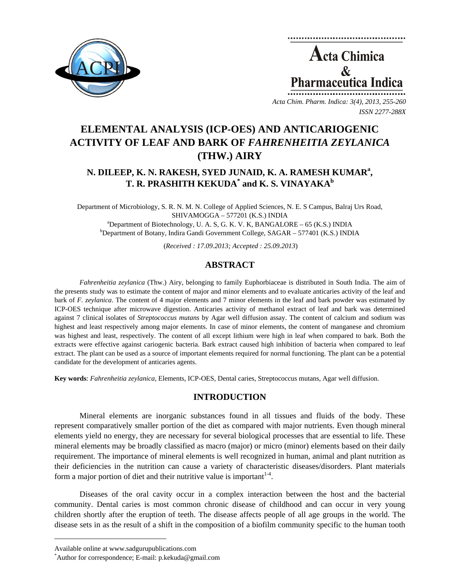



*Acta Chim. Pharm. Indica: 3(4), 2013, 255-260 ISSN 2277-288X*

# **ELEMENTAL ANALYSIS (ICP-OES) AND ANTICARIOGENIC ACTIVITY OF LEAF AND BARK OF** *FAHRENHEITIA ZEYLANICA* **(THW.) AIRY**

## **N. DILEEP, K. N. RAKESH, SYED JUNAID, K. A. RAMESH KUMAR<sup>a</sup> , T. R. PRASHITH KEKUDA\* and K. S. VINAYAKAb**

Department of Microbiology, S. R. N. M. N. College of Applied Sciences, N. E. S Campus, Balraj Urs Road,  $SHIVAMOGGA - 577201 (K.S.) INDIA$ <br>a<br>Department of Biotechnology, II, A, S, C, K, V, K, BANGALO <sup>a</sup>Department of Biotechnology, U. A. S, G. K. V. K, BANGALORE – 65 (K.S.) INDIA b<br>bDepartment of Botany, Indian Candi Covernment Collage, SACAB, 577401 (K.S.) INDI Department of Botany, Indira Gandi Government College, SAGAR – 577401 (K.S.) INDIA

(*Received : 17.09.2013; Accepted : 25.09.2013*)

## **ABSTRACT**

*Fahrenheitia zeylanica* (Thw.) Airy, belonging to family Euphorbiaceae is distributed in South India. The aim of the presents study was to estimate the content of major and minor elements and to evaluate anticaries activity of the leaf and bark of *F. zeylanica*. The content of 4 major elements and 7 minor elements in the leaf and bark powder was estimated by ICP-OES technique after microwave digestion. Anticaries activity of methanol extract of leaf and bark was determined against 7 clinical isolates of *Streptococcus mutans* by Agar well diffusion assay. The content of calcium and sodium was highest and least respectively among major elements. In case of minor elements, the content of manganese and chromium was highest and least, respectively. The content of all except lithium were high in leaf when compared to bark. Both the extracts were effective against cariogenic bacteria. Bark extract caused high inhibition of bacteria when compared to leaf extract. The plant can be used as a source of important elements required for normal functioning. The plant can be a potential candidate for the development of anticaries agents.

**Key words**: *Fahrenheitia zeylanica*, Elements, ICP-OES, Dental caries, Streptococcus mutans, Agar well diffusion.

## **INTRODUCTION**

Mineral elements are inorganic substances found in all tissues and fluids of the body. These represent comparatively smaller portion of the diet as compared with major nutrients. Even though mineral elements yield no energy, they are necessary for several biological processes that are essential to life. These mineral elements may be broadly classified as macro (major) or micro (minor) elements based on their daily requirement. The importance of mineral elements is well recognized in human, animal and plant nutrition as their deficiencies in the nutrition can cause a variety of characteristic diseases/disorders. Plant materials form a major portion of diet and their nutritive value is important  $14$ .

Diseases of the oral cavity occur in a complex interaction between the host and the bacterial community. Dental caries is most common chronic disease of childhood and can occur in very young children shortly after the eruption of teeth. The disease affects people of all age groups in the world. The disease sets in as the result of a shift in the composition of a biofilm community specific to the human tooth

**\_\_\_\_\_\_\_\_\_\_\_\_\_\_\_\_\_\_\_\_\_\_\_\_\_\_\_\_\_\_\_\_\_\_\_\_\_\_\_\_**

Available online at www.sadgurupublications.com \*

Author for correspondence; E-mail: p.kekuda@gmail.com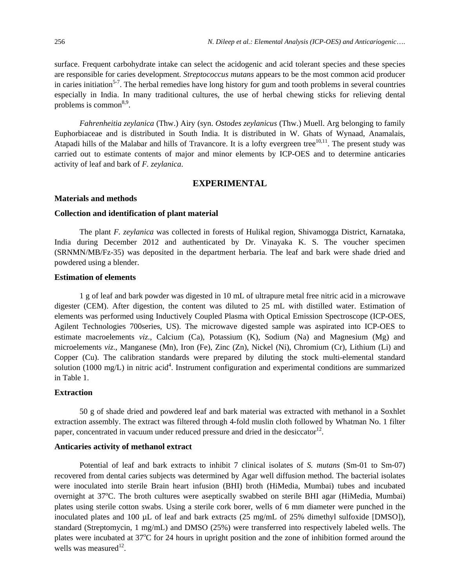surface. Frequent carbohydrate intake can select the acidogenic and acid tolerant species and these species are responsible for caries development. *Streptococcus mutans* appears to be the most common acid producer in caries initiation<sup>5-7</sup>. The herbal remedies have long history for gum and tooth problems in several countries especially in India. In many traditional cultures, the use of herbal chewing sticks for relieving dental problems is common<sup>8,9</sup>.

*Fahrenheitia zeylanica* (Thw.) Airy (syn. *Ostodes zeylanicus* (Thw.) Muell. Arg belonging to family Euphorbiaceae and is distributed in South India. It is distributed in W. Ghats of Wynaad, Anamalais, Atapadi hills of the Malabar and hills of Travancore. It is a lofty evergreen tree<sup>10,11</sup>. The present study was carried out to estimate contents of major and minor elements by ICP-OES and to determine anticaries activity of leaf and bark of *F. zeylanica*.

## **EXPERIMENTAL**

#### **Materials and methods**

#### **Collection and identification of plant material**

The plant *F. zeylanica* was collected in forests of Hulikal region, Shivamogga District, Karnataka, India during December 2012 and authenticated by Dr. Vinayaka K. S. The voucher specimen (SRNMN/MB/Fz-35) was deposited in the department herbaria. The leaf and bark were shade dried and powdered using a blender.

### **Estimation of elements**

1 g of leaf and bark powder was digested in 10 mL of ultrapure metal free nitric acid in a microwave digester (CEM). After digestion, the content was diluted to 25 mL with distilled water. Estimation of elements was performed using Inductively Coupled Plasma with Optical Emission Spectroscope (ICP-OES, Agilent Technologies 700series, US). The microwave digested sample was aspirated into ICP-OES to estimate macroelements *viz*., Calcium (Ca), Potassium (K), Sodium (Na) and Magnesium (Mg) and microelements *viz*., Manganese (Mn), Iron (Fe), Zinc (Zn), Nickel (Ni), Chromium (Cr), Lithium (Li) and Copper (Cu). The calibration standards were prepared by diluting the stock multi-elemental standard solution (1000 mg/L) in nitric acid<sup>4</sup>. Instrument configuration and experimental conditions are summarized in Table 1.

## **Extraction**

50 g of shade dried and powdered leaf and bark material was extracted with methanol in a Soxhlet extraction assembly. The extract was filtered through 4-fold muslin cloth followed by Whatman No. 1 filter paper, concentrated in vacuum under reduced pressure and dried in the desiccator<sup>12</sup>.

#### **Anticaries activity of methanol extract**

Potential of leaf and bark extracts to inhibit 7 clinical isolates of *S. mutans* (Sm-01 to Sm-07) recovered from dental caries subjects was determined by Agar well diffusion method. The bacterial isolates were inoculated into sterile Brain heart infusion (BHI) broth (HiMedia, Mumbai) tubes and incubated overnight at 37°C. The broth cultures were aseptically swabbed on sterile BHI agar (HiMedia, Mumbai) plates using sterile cotton swabs. Using a sterile cork borer, wells of 6 mm diameter were punched in the inoculated plates and 100 µL of leaf and bark extracts (25 mg/mL of 25% dimethyl sulfoxide [DMSO]), standard (Streptomycin, 1 mg/mL) and DMSO (25%) were transferred into respectively labeled wells. The plates were incubated at 37°C for 24 hours in upright position and the zone of inhibition formed around the wells was measured $^{12}$ .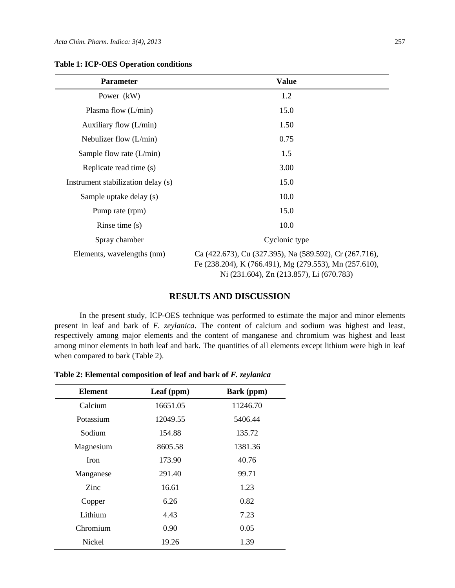| <b>Parameter</b>                   | <b>Value</b>                                                                                                                                                  |  |
|------------------------------------|---------------------------------------------------------------------------------------------------------------------------------------------------------------|--|
| Power (kW)                         | 1.2                                                                                                                                                           |  |
| Plasma flow $(L/min)$              | 15.0                                                                                                                                                          |  |
| Auxiliary flow $(L/min)$           | 1.50                                                                                                                                                          |  |
| Nebulizer flow $(L/min)$           | 0.75                                                                                                                                                          |  |
| Sample flow rate $(L/min)$         | 1.5                                                                                                                                                           |  |
| Replicate read time (s)            | 3.00                                                                                                                                                          |  |
| Instrument stabilization delay (s) | 15.0                                                                                                                                                          |  |
| Sample uptake delay (s)            | 10.0                                                                                                                                                          |  |
| Pump rate (rpm)                    | 15.0                                                                                                                                                          |  |
| Rinse time $(s)$                   | 10.0                                                                                                                                                          |  |
| Spray chamber                      | Cyclonic type                                                                                                                                                 |  |
| Elements, wavelengths (nm)         | Ca (422.673), Cu (327.395), Na (589.592), Cr (267.716),<br>Fe (238.204), K (766.491), Mg (279.553), Mn (257.610),<br>Ni (231.604), Zn (213.857), Li (670.783) |  |

#### **Table 1: ICP-OES Operation conditions**

## **RESULTS AND DISCUSSION**

In the present study, ICP-OES technique was performed to estimate the major and minor elements present in leaf and bark of *F. zeylanica*. The content of calcium and sodium was highest and least, respectively among major elements and the content of manganese and chromium was highest and least among minor elements in both leaf and bark. The quantities of all elements except lithium were high in leaf when compared to bark (Table 2).

**Table 2: Elemental composition of leaf and bark of** *F. zeylanica* 

| <b>Element</b> | Leaf (ppm) | Bark (ppm) |
|----------------|------------|------------|
| Calcium        | 16651.05   | 11246.70   |
| Potassium      | 12049.55   | 5406.44    |
| Sodium         | 154.88     | 135.72     |
| Magnesium      | 8605.58    | 1381.36    |
| Iron           | 173.90     | 40.76      |
| Manganese      | 291.40     | 99.71      |
| Zinc           | 16.61      | 1.23       |
| Copper         | 6.26       | 0.82       |
| Lithium        | 4.43       | 7.23       |
| Chromium       | 0.90       | 0.05       |
| Nickel         | 19.26      | 1.39       |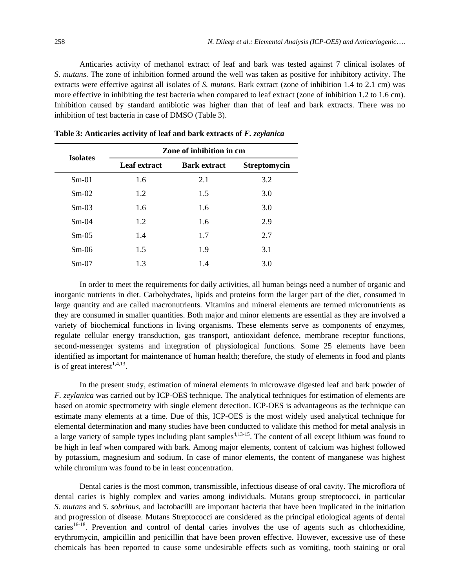Anticaries activity of methanol extract of leaf and bark was tested against 7 clinical isolates of *S. mutans*. The zone of inhibition formed around the well was taken as positive for inhibitory activity. The extracts were effective against all isolates of *S. mutans*. Bark extract (zone of inhibition 1.4 to 2.1 cm) was more effective in inhibiting the test bacteria when compared to leaf extract (zone of inhibition 1.2 to 1.6 cm). Inhibition caused by standard antibiotic was higher than that of leaf and bark extracts. There was no inhibition of test bacteria in case of DMSO (Table 3).

| <b>Isolates</b> | Zone of inhibition in cm |                     |                     |  |
|-----------------|--------------------------|---------------------|---------------------|--|
|                 | Leaf extract             | <b>Bark extract</b> | <b>Streptomycin</b> |  |
| $Sm-01$         | 1.6                      | 2.1                 | 3.2                 |  |
| $Sm-02$         | 1.2                      | 1.5                 | 3.0                 |  |
| $Sm-03$         | 1.6                      | 1.6                 | 3.0                 |  |
| $Sm-04$         | 1.2                      | 1.6                 | 2.9                 |  |
| $Sm-0.5$        | 1.4                      | 1.7                 | 2.7                 |  |
| $Sm-06$         | 1.5                      | 1.9                 | 3.1                 |  |
| $Sm-07$         | 1.3                      | 1.4                 | 3.0                 |  |

**Table 3: Anticaries activity of leaf and bark extracts of** *F. zeylanica*

In order to meet the requirements for daily activities, all human beings need a number of organic and inorganic nutrients in diet. Carbohydrates, lipids and proteins form the larger part of the diet, consumed in large quantity and are called macronutrients. Vitamins and mineral elements are termed micronutrients as they are consumed in smaller quantities. Both major and minor elements are essential as they are involved a variety of biochemical functions in living organisms. These elements serve as components of enzymes, regulate cellular energy transduction, gas transport, antioxidant defence, membrane receptor functions, second-messenger systems and integration of physiological functions. Some 25 elements have been identified as important for maintenance of human health; therefore, the study of elements in food and plants is of great interest<sup> $1,4,13$ </sup>.

In the present study, estimation of mineral elements in microwave digested leaf and bark powder of *F. zeylanica* was carried out by ICP-OES technique. The analytical techniques for estimation of elements are based on atomic spectrometry with single element detection. ICP-OES is advantageous as the technique can estimate many elements at a time. Due of this, ICP-OES is the most widely used analytical technique for elemental determination and many studies have been conducted to validate this method for metal analysis in a large variety of sample types including plant samples<sup>4,13-15</sup>. The content of all except lithium was found to be high in leaf when compared with bark. Among major elements, content of calcium was highest followed by potassium, magnesium and sodium. In case of minor elements, the content of manganese was highest while chromium was found to be in least concentration.

Dental caries is the most common, transmissible, infectious disease of oral cavity. The microflora of dental caries is highly complex and varies among individuals. Mutans group streptococci, in particular *S. mutans* and *S. sobrinus*, and lactobacilli are important bacteria that have been implicated in the initiation and progression of disease. Mutans Streptococci are considered as the principal etiological agents of dental caries<sup>16-18</sup>. Prevention and control of dental caries involves the use of agents such as chlorhexidine, erythromycin, ampicillin and penicillin that have been proven effective. However, excessive use of these chemicals has been reported to cause some undesirable effects such as vomiting, tooth staining or oral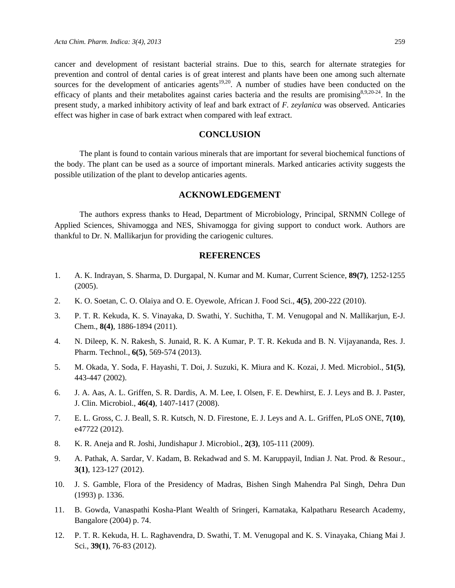cancer and development of resistant bacterial strains. Due to this, search for alternate strategies for prevention and control of dental caries is of great interest and plants have been one among such alternate sources for the development of anticaries agents<sup>19,20</sup>. A number of studies have been conducted on the efficacy of plants and their metabolites against caries bacteria and the results are promising  $8,9,20-24$ . In the present study, a marked inhibitory activity of leaf and bark extract of *F. zeylanica* was observed. Anticaries effect was higher in case of bark extract when compared with leaf extract.

## **CONCLUSION**

The plant is found to contain various minerals that are important for several biochemical functions of the body. The plant can be used as a source of important minerals. Marked anticaries activity suggests the possible utilization of the plant to develop anticaries agents.

#### **ACKNOWLEDGEMENT**

The authors express thanks to Head, Department of Microbiology, Principal, SRNMN College of Applied Sciences, Shivamogga and NES, Shivamogga for giving support to conduct work. Authors are thankful to Dr. N. Mallikarjun for providing the cariogenic cultures.

#### **REFERENCES**

- 1. A. K. Indrayan, S. Sharma, D. Durgapal, N. Kumar and M. Kumar, Current Science, **89(7)**, 1252-1255 (2005).
- 2. K. O. Soetan, C. O. Olaiya and O. E. Oyewole, African J. Food Sci., **4(5)**, 200-222 (2010).
- 3. P. T. R. Kekuda, K. S. Vinayaka, D. Swathi, Y. Suchitha, T. M. Venugopal and N. Mallikarjun, E-J. Chem., **8(4)**, 1886-1894 (2011).
- 4. N. Dileep, K. N. Rakesh, S. Junaid, R. K. A Kumar, P. T. R. Kekuda and B. N. Vijayananda, Res. J. Pharm. Technol., **6(5)**, 569-574 (2013).
- 5. M. Okada, Y. Soda, F. Hayashi, T. Doi, J. Suzuki, K. Miura and K. Kozai, J. Med. Microbiol., **51(5)**, 443-447 (2002).
- 6. J. A. Aas, A. L. Griffen, S. R. Dardis, A. M. Lee, I. Olsen, F. E. Dewhirst, E. J. Leys and B. J. Paster, J. Clin. Microbiol., **46(4)**, 1407-1417 (2008).
- 7. E. L. Gross, C. J. Beall, S. R. Kutsch, N. D. Firestone, E. J. Leys and A. L. Griffen, PLoS ONE, **7(10)**, e47722 (2012).
- 8. K. R. Aneja and R. Joshi, Jundishapur J. Microbiol., **2(3)**, 105-111 (2009).
- 9. A. Pathak, A. Sardar, V. Kadam, B. Rekadwad and S. M. Karuppayil, Indian J. Nat. Prod. & Resour., **3(1)**, 123-127 (2012).
- 10. J. S. Gamble, Flora of the Presidency of Madras, Bishen Singh Mahendra Pal Singh, Dehra Dun (1993) p. 1336.
- 11. B. Gowda, Vanaspathi Kosha-Plant Wealth of Sringeri, Karnataka, Kalpatharu Research Academy, Bangalore (2004) p. 74.
- 12. P. T. R. Kekuda, H. L. Raghavendra, D. Swathi, T. M. Venugopal and K. S. Vinayaka, Chiang Mai J. Sci., **39(1)**, 76-83 (2012).